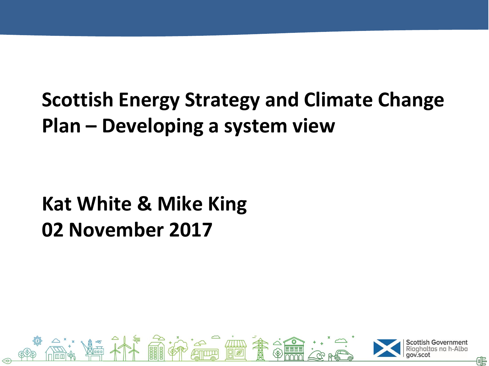# **Scottish Energy Strategy and Climate Change Plan – Developing a system view**

# **Kat White & Mike King 02 November 2017**

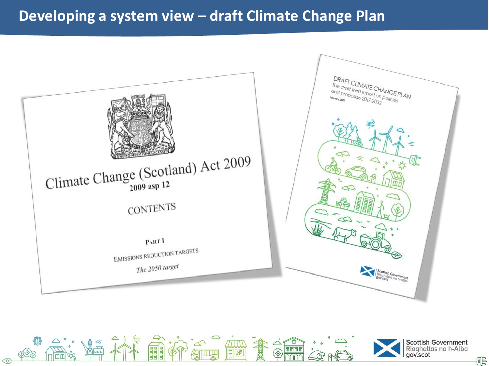#### **Developing a system view – draft Climate Change Plan**



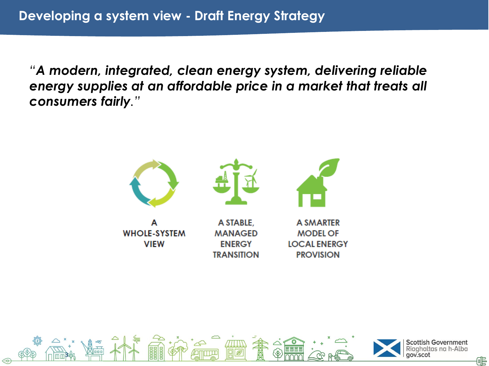*"A modern, integrated, clean energy system, delivering reliable energy supplies at an affordable price in a market that treats all consumers fairly."*



**MANAGED** 

**ENERGY TRANSITION** 

**WHOLE-SYSTEM VIEW** 

**MODEL OF LOCAL ENERGY PROVISION** 

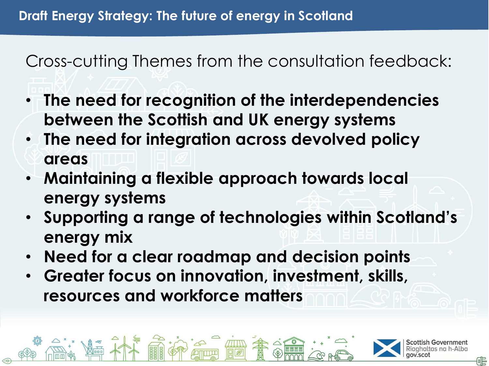#### Cross-cutting Themes from the consultation feedback:

- **The need for recognition of the interdependencies between the Scottish and UK energy systems**
- **The need for integration across devolved policy areas**
- **Maintaining a flexible approach towards local energy systems**
- **Supporting a range of technologies within Scotland's energy mix**
- **Need for a clear roadmap and decision points**
- **Greater focus on innovation, investment, skills, resources and workforce matters**

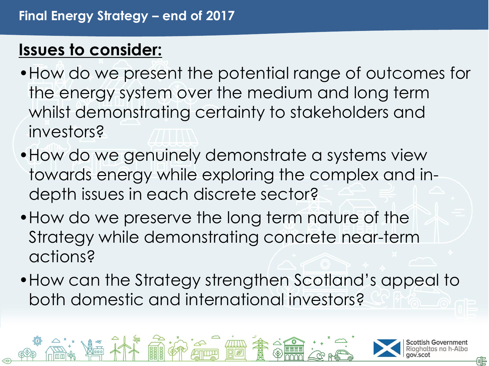### **Issues to consider:**

- •How do we present the potential range of outcomes for the energy system over the medium and long term whilst demonstrating certainty to stakeholders and investors?
- •How do we genuinely demonstrate a systems view towards energy while exploring the complex and indepth issues in each discrete sector?
- •How do we preserve the long term nature of the Strategy while demonstrating concrete near-term actions?
- •How can the Strategy strengthen Scotland's appeal to both domestic and international investors?